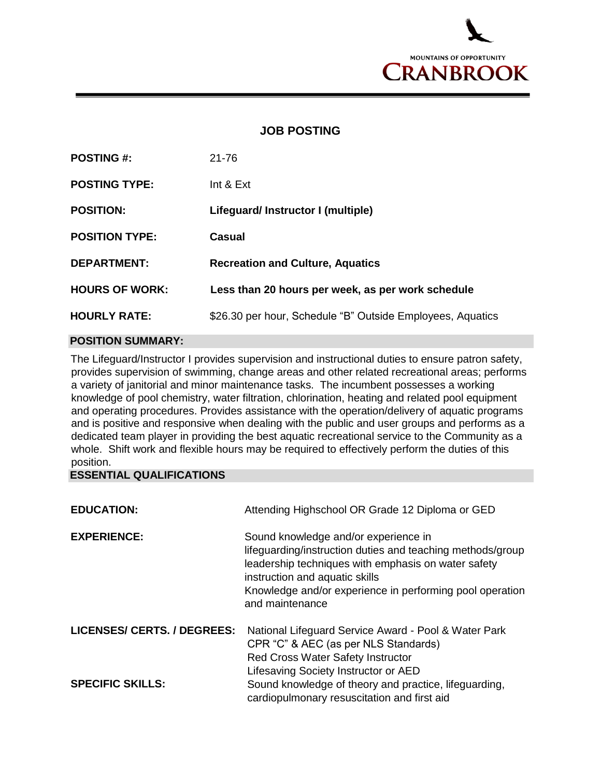

## **JOB POSTING**

| <b>POSTING #:</b>     | $21 - 76$                                                  |
|-----------------------|------------------------------------------------------------|
| <b>POSTING TYPE:</b>  | Int $&Ext$                                                 |
| <b>POSITION:</b>      | Lifeguard/Instructor I (multiple)                          |
| <b>POSITION TYPE:</b> | Casual                                                     |
| <b>DEPARTMENT:</b>    | <b>Recreation and Culture, Aquatics</b>                    |
| <b>HOURS OF WORK:</b> | Less than 20 hours per week, as per work schedule          |
| <b>HOURLY RATE:</b>   | \$26.30 per hour, Schedule "B" Outside Employees, Aquatics |

## **POSITION SUMMARY:**

The Lifeguard/Instructor I provides supervision and instructional duties to ensure patron safety, provides supervision of swimming, change areas and other related recreational areas; performs a variety of janitorial and minor maintenance tasks. The incumbent possesses a working knowledge of pool chemistry, water filtration, chlorination, heating and related pool equipment and operating procedures. Provides assistance with the operation/delivery of aquatic programs and is positive and responsive when dealing with the public and user groups and performs as a dedicated team player in providing the best aquatic recreational service to the Community as a whole. Shift work and flexible hours may be required to effectively perform the duties of this position.

## **ESSENTIAL QUALIFICATIONS**

| <b>EDUCATION:</b>                  | Attending Highschool OR Grade 12 Diploma or GED                                                                                                                                                                                                                            |
|------------------------------------|----------------------------------------------------------------------------------------------------------------------------------------------------------------------------------------------------------------------------------------------------------------------------|
| <b>EXPERIENCE:</b>                 | Sound knowledge and/or experience in<br>lifeguarding/instruction duties and teaching methods/group<br>leadership techniques with emphasis on water safety<br>instruction and aquatic skills<br>Knowledge and/or experience in performing pool operation<br>and maintenance |
| <b>LICENSES/ CERTS. / DEGREES:</b> | National Lifeguard Service Award - Pool & Water Park<br>CPR "C" & AEC (as per NLS Standards)<br>Red Cross Water Safety Instructor<br>Lifesaving Society Instructor or AED                                                                                                  |
| <b>SPECIFIC SKILLS:</b>            | Sound knowledge of theory and practice, lifeguarding,<br>cardiopulmonary resuscitation and first aid                                                                                                                                                                       |